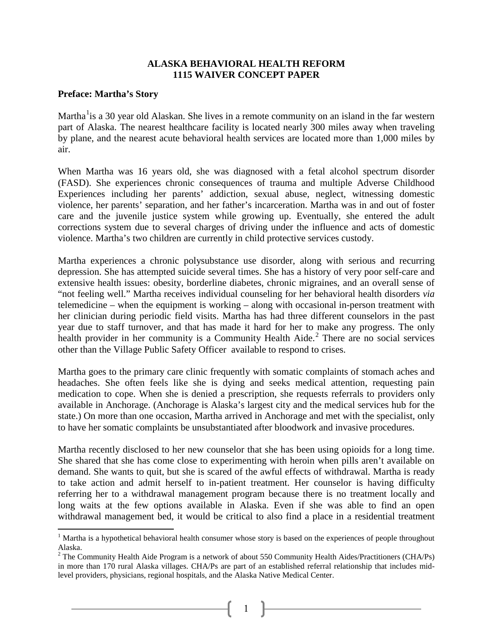### **ALASKA BEHAVIORAL HEALTH REFORM 1115 WAIVER CONCEPT PAPER**

#### **Preface: Martha's Story**

 $\overline{a}$ 

Martha<sup>[1](#page-0-0)</sup>is a 30 year old Alaskan. She lives in a remote community on an island in the far western part of Alaska. The nearest healthcare facility is located nearly 300 miles away when traveling by plane, and the nearest acute behavioral health services are located more than 1,000 miles by air.

When Martha was 16 years old, she was diagnosed with a fetal alcohol spectrum disorder (FASD). She experiences chronic consequences of trauma and multiple Adverse Childhood Experiences including her parents' addiction, sexual abuse, neglect, witnessing domestic violence, her parents' separation, and her father's incarceration. Martha was in and out of foster care and the juvenile justice system while growing up. Eventually, she entered the adult corrections system due to several charges of driving under the influence and acts of domestic violence. Martha's two children are currently in child protective services custody.

Martha experiences a chronic polysubstance use disorder, along with serious and recurring depression. She has attempted suicide several times. She has a history of very poor self-care and extensive health issues: obesity, borderline diabetes, chronic migraines, and an overall sense of "not feeling well." Martha receives individual counseling for her behavioral health disorders *via* telemedicine – when the equipment is working – along with occasional in-person treatment with her clinician during periodic field visits. Martha has had three different counselors in the past year due to staff turnover, and that has made it hard for her to make any progress. The only health provider in her community is a Community Health Aide.<sup>[2](#page-0-1)</sup> There are no social services other than the Village Public Safety Officer available to respond to crises.

Martha goes to the primary care clinic frequently with somatic complaints of stomach aches and headaches. She often feels like she is dying and seeks medical attention, requesting pain medication to cope. When she is denied a prescription, she requests referrals to providers only available in Anchorage. (Anchorage is Alaska's largest city and the medical services hub for the state.) On more than one occasion, Martha arrived in Anchorage and met with the specialist, only to have her somatic complaints be unsubstantiated after bloodwork and invasive procedures.

Martha recently disclosed to her new counselor that she has been using opioids for a long time. She shared that she has come close to experimenting with heroin when pills aren't available on demand. She wants to quit, but she is scared of the awful effects of withdrawal. Martha is ready to take action and admit herself to in-patient treatment. Her counselor is having difficulty referring her to a withdrawal management program because there is no treatment locally and long waits at the few options available in Alaska. Even if she was able to find an open withdrawal management bed, it would be critical to also find a place in a residential treatment

1

<span id="page-0-0"></span> $<sup>1</sup>$  Martha is a hypothetical behavioral health consumer whose story is based on the experiences of people throughout</sup> Alaska.

<span id="page-0-1"></span> $2$  The Community Health Aide Program is a network of about 550 Community Health Aides/Practitioners (CHA/Ps) in more than 170 rural Alaska villages. CHA/Ps are part of an established referral relationship that includes midlevel providers, physicians, regional hospitals, and the Alaska Native Medical Center.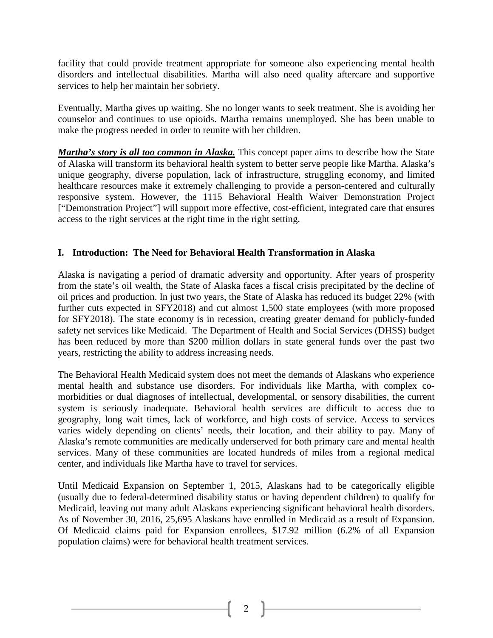facility that could provide treatment appropriate for someone also experiencing mental health disorders and intellectual disabilities. Martha will also need quality aftercare and supportive services to help her maintain her sobriety.

Eventually, Martha gives up waiting. She no longer wants to seek treatment. She is avoiding her counselor and continues to use opioids. Martha remains unemployed. She has been unable to make the progress needed in order to reunite with her children.

*Martha's story is all too common in Alaska.* This concept paper aims to describe how the State of Alaska will transform its behavioral health system to better serve people like Martha. Alaska's unique geography, diverse population, lack of infrastructure, struggling economy, and limited healthcare resources make it extremely challenging to provide a person-centered and culturally responsive system. However, the 1115 Behavioral Health Waiver Demonstration Project ["Demonstration Project"] will support more effective, cost-efficient, integrated care that ensures access to the right services at the right time in the right setting.

# **I. Introduction: The Need for Behavioral Health Transformation in Alaska**

Alaska is navigating a period of dramatic adversity and opportunity. After years of prosperity from the state's oil wealth, the State of Alaska faces a fiscal crisis precipitated by the decline of oil prices and production. In just two years, the State of Alaska has reduced its budget 22% (with further cuts expected in SFY2018) and cut almost 1,500 state employees (with more proposed for SFY2018). The state economy is in recession, creating greater demand for publicly-funded safety net services like Medicaid. The Department of Health and Social Services (DHSS) budget has been reduced by more than \$200 million dollars in state general funds over the past two years, restricting the ability to address increasing needs.

The Behavioral Health Medicaid system does not meet the demands of Alaskans who experience mental health and substance use disorders. For individuals like Martha, with complex comorbidities or dual diagnoses of intellectual, developmental, or sensory disabilities, the current system is seriously inadequate. Behavioral health services are difficult to access due to geography, long wait times, lack of workforce, and high costs of service. Access to services varies widely depending on clients' needs, their location, and their ability to pay. Many of Alaska's remote communities are medically underserved for both primary care and mental health services. Many of these communities are located hundreds of miles from a regional medical center, and individuals like Martha have to travel for services.

Until Medicaid Expansion on September 1, 2015, Alaskans had to be categorically eligible (usually due to federal-determined disability status or having dependent children) to qualify for Medicaid, leaving out many adult Alaskans experiencing significant behavioral health disorders. As of November 30, 2016, 25,695 Alaskans have enrolled in Medicaid as a result of Expansion. Of Medicaid claims paid for Expansion enrollees, \$17.92 million (6.2% of all Expansion population claims) were for behavioral health treatment services.

2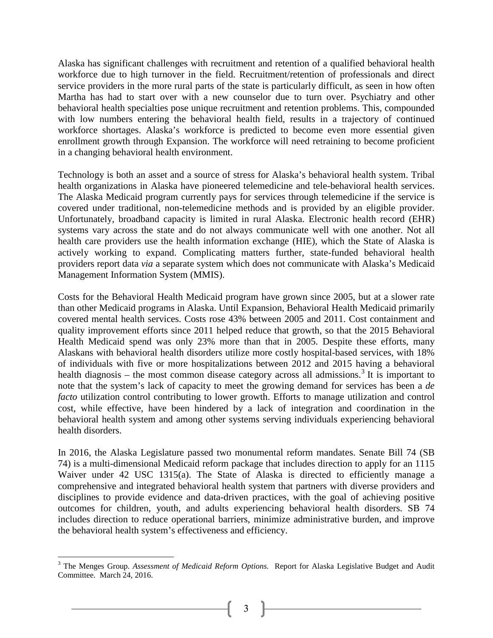Alaska has significant challenges with recruitment and retention of a qualified behavioral health workforce due to high turnover in the field. Recruitment/retention of professionals and direct service providers in the more rural parts of the state is particularly difficult, as seen in how often Martha has had to start over with a new counselor due to turn over. Psychiatry and other behavioral health specialties pose unique recruitment and retention problems. This, compounded with low numbers entering the behavioral health field, results in a trajectory of continued workforce shortages. Alaska's workforce is predicted to become even more essential given enrollment growth through Expansion. The workforce will need retraining to become proficient in a changing behavioral health environment.

Technology is both an asset and a source of stress for Alaska's behavioral health system. Tribal health organizations in Alaska have pioneered telemedicine and tele-behavioral health services. The Alaska Medicaid program currently pays for services through telemedicine if the service is covered under traditional, non-telemedicine methods and is provided by an eligible provider. Unfortunately, broadband capacity is limited in rural Alaska. Electronic health record (EHR) systems vary across the state and do not always communicate well with one another. Not all health care providers use the health information exchange (HIE), which the State of Alaska is actively working to expand. Complicating matters further, state-funded behavioral health providers report data *via* a separate system which does not communicate with Alaska's Medicaid Management Information System (MMIS).

Costs for the Behavioral Health Medicaid program have grown since 2005, but at a slower rate than other Medicaid programs in Alaska. Until Expansion, Behavioral Health Medicaid primarily covered mental health services. Costs rose 43% between 2005 and 2011. Cost containment and quality improvement efforts since 2011 helped reduce that growth, so that the 2015 Behavioral Health Medicaid spend was only 23% more than that in 2005. Despite these efforts, many Alaskans with behavioral health disorders utilize more costly hospital-based services, with 18% of individuals with five or more hospitalizations between 2012 and 2015 having a behavioral health diagnosis – the most common disease category across all admissions.<sup>[3](#page-2-0)</sup> It is important to note that the system's lack of capacity to meet the growing demand for services has been a *de facto* utilization control contributing to lower growth. Efforts to manage utilization and control cost, while effective, have been hindered by a lack of integration and coordination in the behavioral health system and among other systems serving individuals experiencing behavioral health disorders.

In 2016, the Alaska Legislature passed two monumental reform mandates. Senate Bill 74 (SB 74) is a multi-dimensional Medicaid reform package that includes direction to apply for an 1115 Waiver under 42 USC 1315(a). The State of Alaska is directed to efficiently manage a comprehensive and integrated behavioral health system that partners with diverse providers and disciplines to provide evidence and data-driven practices, with the goal of achieving positive outcomes for children, youth, and adults experiencing behavioral health disorders. SB 74 includes direction to reduce operational barriers, minimize administrative burden, and improve the behavioral health system's effectiveness and efficiency.

<span id="page-2-0"></span><sup>&</sup>lt;sup>3</sup> The Menges Group. Assessment of Medicaid Reform Options. Report for Alaska Legislative Budget and Audit Committee. March 24, 2016.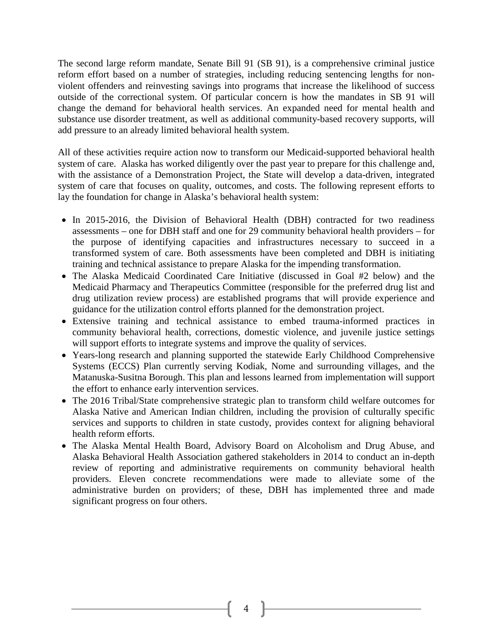The second large reform mandate, Senate Bill 91 (SB 91), is a comprehensive criminal justice reform effort based on a number of strategies, including reducing sentencing lengths for nonviolent offenders and reinvesting savings into programs that increase the likelihood of success outside of the correctional system. Of particular concern is how the mandates in SB 91 will change the demand for behavioral health services. An expanded need for mental health and substance use disorder treatment, as well as additional community-based recovery supports, will add pressure to an already limited behavioral health system.

All of these activities require action now to transform our Medicaid-supported behavioral health system of care. Alaska has worked diligently over the past year to prepare for this challenge and, with the assistance of a Demonstration Project, the State will develop a data-driven, integrated system of care that focuses on quality, outcomes, and costs. The following represent efforts to lay the foundation for change in Alaska's behavioral health system:

- In 2015-2016, the Division of Behavioral Health (DBH) contracted for two readiness assessments – one for DBH staff and one for 29 community behavioral health providers – for the purpose of identifying capacities and infrastructures necessary to succeed in a transformed system of care. Both assessments have been completed and DBH is initiating training and technical assistance to prepare Alaska for the impending transformation.
- The Alaska Medicaid Coordinated Care Initiative (discussed in Goal #2 below) and the Medicaid Pharmacy and Therapeutics Committee (responsible for the preferred drug list and drug utilization review process) are established programs that will provide experience and guidance for the utilization control efforts planned for the demonstration project.
- Extensive training and technical assistance to embed trauma-informed practices in community behavioral health, corrections, domestic violence, and juvenile justice settings will support efforts to integrate systems and improve the quality of services.
- Years-long research and planning supported the statewide Early Childhood Comprehensive Systems (ECCS) Plan currently serving Kodiak, Nome and surrounding villages, and the Matanuska-Susitna Borough. This plan and lessons learned from implementation will support the effort to enhance early intervention services.
- The 2016 Tribal/State comprehensive strategic plan to transform child welfare outcomes for Alaska Native and American Indian children, including the provision of culturally specific services and supports to children in state custody, provides context for aligning behavioral health reform efforts.
- The Alaska Mental Health Board, Advisory Board on Alcoholism and Drug Abuse, and Alaska Behavioral Health Association gathered stakeholders in 2014 to conduct an in-depth review of reporting and administrative requirements on community behavioral health providers. Eleven concrete recommendations were made to alleviate some of the administrative burden on providers; of these, DBH has implemented three and made significant progress on four others.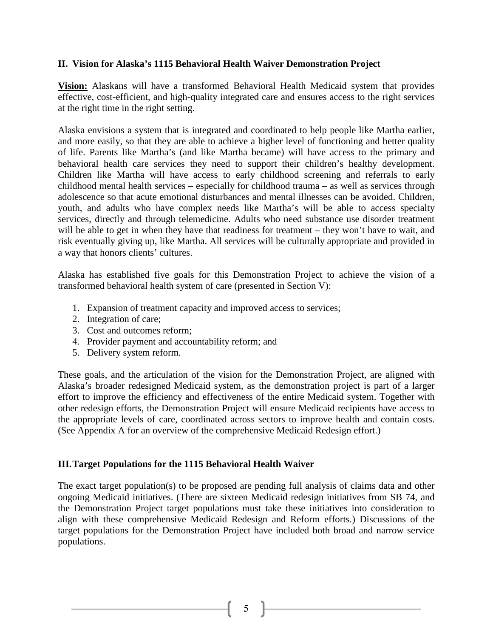## **II. Vision for Alaska's 1115 Behavioral Health Waiver Demonstration Project**

**Vision:** Alaskans will have a transformed Behavioral Health Medicaid system that provides effective, cost-efficient, and high-quality integrated care and ensures access to the right services at the right time in the right setting.

Alaska envisions a system that is integrated and coordinated to help people like Martha earlier, and more easily, so that they are able to achieve a higher level of functioning and better quality of life. Parents like Martha's (and like Martha became) will have access to the primary and behavioral health care services they need to support their children's healthy development. Children like Martha will have access to early childhood screening and referrals to early childhood mental health services – especially for childhood trauma – as well as services through adolescence so that acute emotional disturbances and mental illnesses can be avoided. Children, youth, and adults who have complex needs like Martha's will be able to access specialty services, directly and through telemedicine. Adults who need substance use disorder treatment will be able to get in when they have that readiness for treatment – they won't have to wait, and risk eventually giving up, like Martha. All services will be culturally appropriate and provided in a way that honors clients' cultures.

Alaska has established five goals for this Demonstration Project to achieve the vision of a transformed behavioral health system of care (presented in Section V):

- 1. Expansion of treatment capacity and improved access to services;
- 2. Integration of care;
- 3. Cost and outcomes reform;
- 4. Provider payment and accountability reform; and
- 5. Delivery system reform.

These goals, and the articulation of the vision for the Demonstration Project, are aligned with Alaska's broader redesigned Medicaid system, as the demonstration project is part of a larger effort to improve the efficiency and effectiveness of the entire Medicaid system. Together with other redesign efforts, the Demonstration Project will ensure Medicaid recipients have access to the appropriate levels of care, coordinated across sectors to improve health and contain costs. (See Appendix A for an overview of the comprehensive Medicaid Redesign effort.)

### **III.Target Populations for the 1115 Behavioral Health Waiver**

The exact target population(s) to be proposed are pending full analysis of claims data and other ongoing Medicaid initiatives. (There are sixteen Medicaid redesign initiatives from SB 74, and the Demonstration Project target populations must take these initiatives into consideration to align with these comprehensive Medicaid Redesign and Reform efforts.) Discussions of the target populations for the Demonstration Project have included both broad and narrow service populations.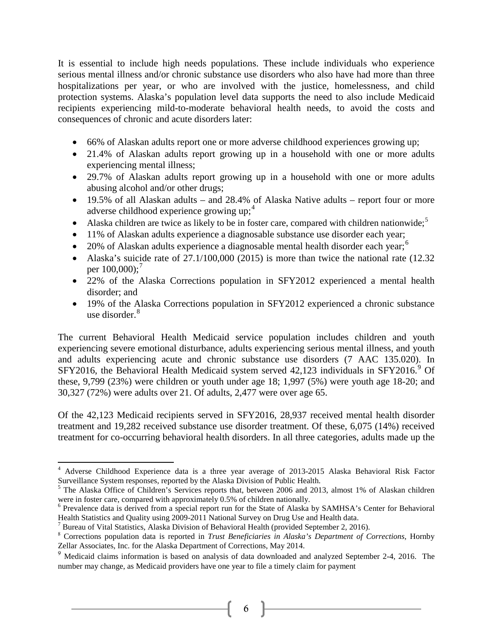It is essential to include high needs populations. These include individuals who experience serious mental illness and/or chronic substance use disorders who also have had more than three hospitalizations per year, or who are involved with the justice, homelessness, and child protection systems. Alaska's population level data supports the need to also include Medicaid recipients experiencing mild-to-moderate behavioral health needs, to avoid the costs and consequences of chronic and acute disorders later:

- 66% of Alaskan adults report one or more adverse childhood experiences growing up;
- 21.4% of Alaskan adults report growing up in a household with one or more adults experiencing mental illness;
- 29.7% of Alaskan adults report growing up in a household with one or more adults abusing alcohol and/or other drugs;
- 19.5% of all Alaskan adults and 28.4% of Alaska Native adults report four or more adverse childhood experience growing up;<sup>[4](#page-6-0)</sup>
- Alaska children are twice as likely to be in foster care, compared with children nationwide;<sup>[5](#page-6-1)</sup>
- 11% of Alaskan adults experience a diagnosable substance use disorder each year;
- 20% of Alaskan adults experience a diagnosable mental health disorder each year;<sup>[6](#page-6-2)</sup>
- Alaska's suicide rate of 27.1/100,000 (2015) is more than twice the national rate (12.32 per 100,000);<sup>[7](#page-6-3)</sup>
- 22% of the Alaska Corrections population in SFY2012 experienced a mental health disorder; and
- 19% of the Alaska Corrections population in SFY2012 experienced a chronic substance use disorder.<sup>[8](#page-6-4)</sup>

The current Behavioral Health Medicaid service population includes children and youth experiencing severe emotional disturbance, adults experiencing serious mental illness, and youth and adults experiencing acute and chronic substance use disorders (7 AAC 135.020). In SFY2016, the Behavioral Health Medicaid system served  $42,123$  individuals in SFY2016.<sup>[9](#page-6-5)</sup> Of these, 9,799 (23%) were children or youth under age 18; 1,997 (5%) were youth age 18-20; and 30,327 (72%) were adults over 21. Of adults, 2,477 were over age 65.

Of the 42,123 Medicaid recipients served in SFY2016, 28,937 received mental health disorder treatment and 19,282 received substance use disorder treatment. Of these, 6,075 (14%) received treatment for co-occurring behavioral health disorders. In all three categories, adults made up the

6

<sup>4</sup> Adverse Childhood Experience data is a three year average of 2013-2015 Alaska Behavioral Risk Factor Surveillance System responses, reported by the Alaska Division of Public Health.

<sup>&</sup>lt;sup>5</sup> The Alaska Office of Children's Services reports that, between 2006 and 2013, almost 1% of Alaskan children

were in foster care, compared with approximately 0.5% of children nationally.<br><sup>6</sup> Prevalence data is derived from a special report run for the State of Alaska by SAMHSA's Center for Behavioral Health Statistics and Quality

<sup>&</sup>lt;sup>7</sup> Bureau of Vital Statistics, Alaska Division of Behavioral Health (provided September 2, 2016).

<sup>&</sup>lt;sup>8</sup> Corrections population data is reported in *Trust Beneficiaries in Alaska's Department of Corrections*, Hornby Zellar Associates, Inc. for the Alaska Department of Corrections, May 2014.

<sup>&</sup>lt;sup>9</sup> Medicaid claims information is based on analysis of data downloaded and analyzed September 2-4, 2016. The number may change, as Medicaid providers have one year to file a timely claim for payment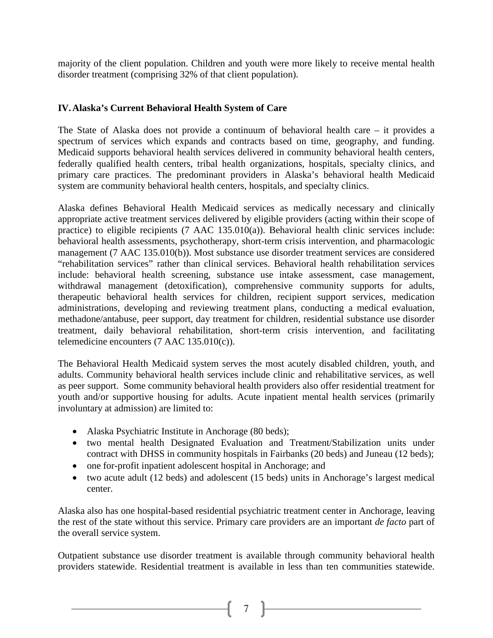majority of the client population. Children and youth were more likely to receive mental health disorder treatment (comprising 32% of that client population).

# **IV.Alaska's Current Behavioral Health System of Care**

The State of Alaska does not provide a continuum of behavioral health care – it provides a spectrum of services which expands and contracts based on time, geography, and funding. Medicaid supports behavioral health services delivered in community behavioral health centers, federally qualified health centers, tribal health organizations, hospitals, specialty clinics, and primary care practices. The predominant providers in Alaska's behavioral health Medicaid system are community behavioral health centers, hospitals, and specialty clinics.

Alaska defines Behavioral Health Medicaid services as medically necessary and clinically appropriate active treatment services delivered by eligible providers (acting within their scope of practice) to eligible recipients (7 AAC 135.010(a)). Behavioral health clinic services include: behavioral health assessments, psychotherapy, short-term crisis intervention, and pharmacologic management (7 AAC 135.010(b)). Most substance use disorder treatment services are considered "rehabilitation services" rather than clinical services. Behavioral health rehabilitation services include: behavioral health screening, substance use intake assessment, case management, withdrawal management (detoxification), comprehensive community supports for adults, therapeutic behavioral health services for children, recipient support services, medication administrations, developing and reviewing treatment plans, conducting a medical evaluation, methadone/antabuse, peer support, day treatment for children, residential substance use disorder treatment, daily behavioral rehabilitation, short-term crisis intervention, and facilitating telemedicine encounters (7 AAC 135.010(c)).

<span id="page-6-0"></span>The Behavioral Health Medicaid system serves the most acutely disabled children, youth, and adults. Community behavioral health services include clinic and rehabilitative services, as well as peer support. Some community behavioral health providers also offer residential treatment for youth and/or supportive housing for adults. Acute inpatient mental health services (primarily involuntary at admission) are limited to:

- <span id="page-6-1"></span>• Alaska Psychiatric Institute in Anchorage (80 beds);
- <span id="page-6-2"></span>• two mental health Designated Evaluation and Treatment/Stabilization units under contract with DHSS in community hospitals in Fairbanks (20 beds) and Juneau (12 beds);
- one for-profit inpatient adolescent hospital in Anchorage; and
- two acute adult (12 beds) and adolescent (15 beds) units in Anchorage's largest medical center.

Alaska also has one hospital-based residential psychiatric treatment center in Anchorage, leaving the rest of the state without this service. Primary care providers are an important *de facto* part of the overall service system.

<span id="page-6-5"></span><span id="page-6-4"></span><span id="page-6-3"></span>Outpatient substance use disorder treatment is available through community behavioral health providers statewide. Residential treatment is available in less than ten communities statewide.

 $7$  ]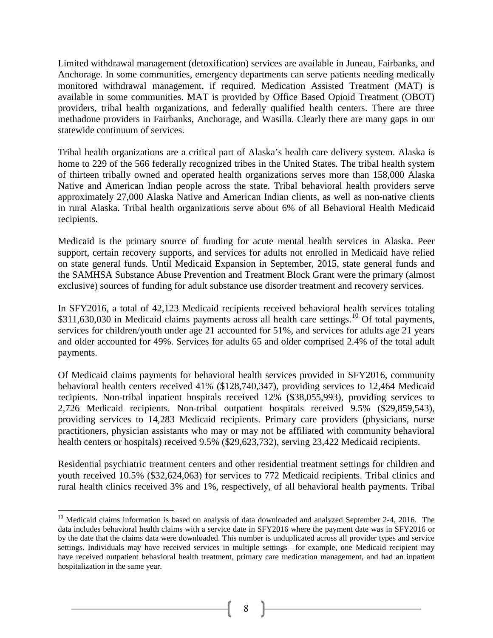Limited withdrawal management (detoxification) services are available in Juneau, Fairbanks, and Anchorage. In some communities, emergency departments can serve patients needing medically monitored withdrawal management, if required. Medication Assisted Treatment (MAT) is available in some communities. MAT is provided by Office Based Opioid Treatment (OBOT) providers, tribal health organizations, and federally qualified health centers. There are three methadone providers in Fairbanks, Anchorage, and Wasilla. Clearly there are many gaps in our statewide continuum of services.

Tribal health organizations are a critical part of Alaska's health care delivery system. Alaska is home to 229 of the 566 federally recognized tribes in the United States. The tribal health system of thirteen tribally owned and operated health organizations serves more than 158,000 Alaska Native and American Indian people across the state. Tribal behavioral health providers serve approximately 27,000 Alaska Native and American Indian clients, as well as non-native clients in rural Alaska. Tribal health organizations serve about 6% of all Behavioral Health Medicaid recipients.

Medicaid is the primary source of funding for acute mental health services in Alaska. Peer support, certain recovery supports, and services for adults not enrolled in Medicaid have relied on state general funds. Until Medicaid Expansion in September, 2015, state general funds and the SAMHSA Substance Abuse Prevention and Treatment Block Grant were the primary (almost exclusive) sources of funding for adult substance use disorder treatment and recovery services.

In SFY2016, a total of 42,123 Medicaid recipients received behavioral health services totaling \$311,630,030 in Medicaid claims payments across all health care settings.<sup>[10](#page-9-0)</sup> Of total payments, services for children/youth under age 21 accounted for 51%, and services for adults age 21 years and older accounted for 49%. Services for adults 65 and older comprised 2.4% of the total adult payments.

Of Medicaid claims payments for behavioral health services provided in SFY2016, community behavioral health centers received 41% (\$128,740,347), providing services to 12,464 Medicaid recipients. Non-tribal inpatient hospitals received 12% (\$38,055,993), providing services to 2,726 Medicaid recipients. Non-tribal outpatient hospitals received 9.5% (\$29,859,543), providing services to 14,283 Medicaid recipients. Primary care providers (physicians, nurse practitioners, physician assistants who may or may not be affiliated with community behavioral health centers or hospitals) received 9.5% (\$29,623,732), serving 23,422 Medicaid recipients.

Residential psychiatric treatment centers and other residential treatment settings for children and youth received 10.5% (\$32,624,063) for services to 772 Medicaid recipients. Tribal clinics and rural health clinics received 3% and 1%, respectively, of all behavioral health payments. Tribal

 $\overline{a}$ 

<sup>&</sup>lt;sup>10</sup> Medicaid claims information is based on analysis of data downloaded and analyzed September 2-4, 2016. The data includes behavioral health claims with a service date in SFY2016 where the payment date was in SFY2016 or by the date that the claims data were downloaded. This number is unduplicated across all provider types and service settings. Individuals may have received services in multiple settings—for example, one Medicaid recipient may have received outpatient behavioral health treatment, primary care medication management, and had an inpatient hospitalization in the same year.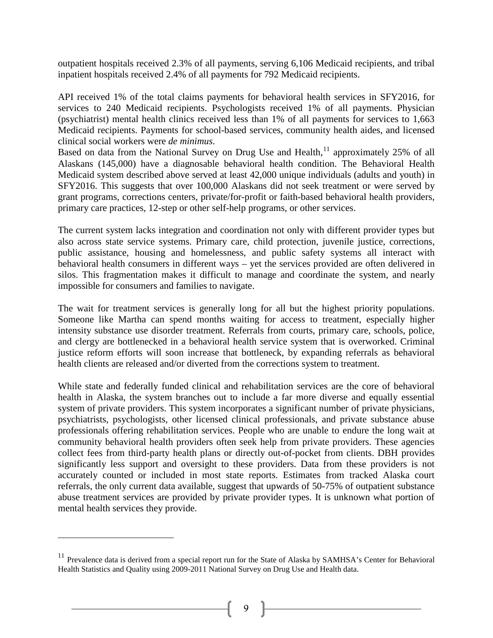outpatient hospitals received 2.3% of all payments, serving 6,106 Medicaid recipients, and tribal inpatient hospitals received 2.4% of all payments for 792 Medicaid recipients.

API received 1% of the total claims payments for behavioral health services in SFY2016, for services to 240 Medicaid recipients. Psychologists received 1% of all payments. Physician (psychiatrist) mental health clinics received less than 1% of all payments for services to 1,663 Medicaid recipients. Payments for school-based services, community health aides, and licensed clinical social workers were *de minimus*.

Based on data from the National Survey on Drug Use and Health,<sup>[11](#page-10-0)</sup> approximately 25% of all Alaskans (145,000) have a diagnosable behavioral health condition. The Behavioral Health Medicaid system described above served at least 42,000 unique individuals (adults and youth) in SFY2016. This suggests that over 100,000 Alaskans did not seek treatment or were served by grant programs, corrections centers, private/for-profit or faith-based behavioral health providers, primary care practices, 12-step or other self-help programs, or other services.

The current system lacks integration and coordination not only with different provider types but also across state service systems. Primary care, child protection, juvenile justice, corrections, public assistance, housing and homelessness, and public safety systems all interact with behavioral health consumers in different ways – yet the services provided are often delivered in silos. This fragmentation makes it difficult to manage and coordinate the system, and nearly impossible for consumers and families to navigate.

The wait for treatment services is generally long for all but the highest priority populations. Someone like Martha can spend months waiting for access to treatment, especially higher intensity substance use disorder treatment. Referrals from courts, primary care, schools, police, and clergy are bottlenecked in a behavioral health service system that is overworked. Criminal justice reform efforts will soon increase that bottleneck, by expanding referrals as behavioral health clients are released and/or diverted from the corrections system to treatment.

While state and federally funded clinical and rehabilitation services are the core of behavioral health in Alaska, the system branches out to include a far more diverse and equally essential system of private providers. This system incorporates a significant number of private physicians, psychiatrists, psychologists, other licensed clinical professionals, and private substance abuse professionals offering rehabilitation services. People who are unable to endure the long wait at community behavioral health providers often seek help from private providers. These agencies collect fees from third-party health plans or directly out-of-pocket from clients. DBH provides significantly less support and oversight to these providers. Data from these providers is not accurately counted or included in most state reports. Estimates from tracked Alaska court referrals, the only current data available, suggest that upwards of 50-75% of outpatient substance abuse treatment services are provided by private provider types. It is unknown what portion of mental health services they provide.

 $\overline{a}$ 

<sup>&</sup>lt;sup>11</sup> Prevalence data is derived from a special report run for the State of Alaska by SAMHSA's Center for Behavioral Health Statistics and Quality using 2009-2011 National Survey on Drug Use and Health data.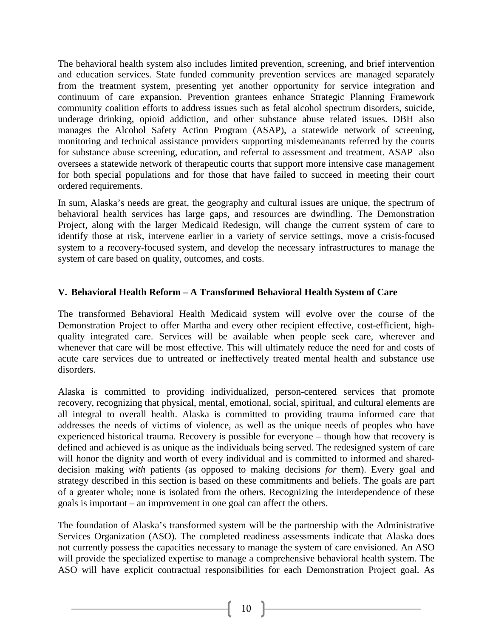The behavioral health system also includes limited prevention, screening, and brief intervention and education services. State funded community prevention services are managed separately from the treatment system, presenting yet another opportunity for service integration and continuum of care expansion. Prevention grantees enhance Strategic Planning Framework community coalition efforts to address issues such as fetal alcohol spectrum disorders, suicide, underage drinking, opioid addiction, and other substance abuse related issues. DBH also manages the Alcohol Safety Action Program (ASAP), a statewide network of screening, monitoring and technical assistance providers supporting misdemeanants referred by the courts for substance abuse screening, education, and referral to assessment and treatment. ASAP also oversees a statewide network of therapeutic courts that support more intensive case management for both special populations and for those that have failed to succeed in meeting their court ordered requirements.

In sum, Alaska's needs are great, the geography and cultural issues are unique, the spectrum of behavioral health services has large gaps, and resources are dwindling. The Demonstration Project, along with the larger Medicaid Redesign, will change the current system of care to identify those at risk, intervene earlier in a variety of service settings, move a crisis-focused system to a recovery-focused system, and develop the necessary infrastructures to manage the system of care based on quality, outcomes, and costs.

# **V. Behavioral Health Reform – A Transformed Behavioral Health System of Care**

The transformed Behavioral Health Medicaid system will evolve over the course of the Demonstration Project to offer Martha and every other recipient effective, cost-efficient, highquality integrated care. Services will be available when people seek care, wherever and whenever that care will be most effective. This will ultimately reduce the need for and costs of acute care services due to untreated or ineffectively treated mental health and substance use disorders.

Alaska is committed to providing individualized, person-centered services that promote recovery, recognizing that physical, mental, emotional, social, spiritual, and cultural elements are all integral to overall health. Alaska is committed to providing trauma informed care that addresses the needs of victims of violence, as well as the unique needs of peoples who have experienced historical trauma. Recovery is possible for everyone – though how that recovery is defined and achieved is as unique as the individuals being served. The redesigned system of care will honor the dignity and worth of every individual and is committed to informed and shareddecision making *with* patients (as opposed to making decisions *for* them). Every goal and strategy described in this section is based on these commitments and beliefs. The goals are part of a greater whole; none is isolated from the others. Recognizing the interdependence of these goals is important – an improvement in one goal can affect the others.

<span id="page-9-0"></span>The foundation of Alaska's transformed system will be the partnership with the Administrative Services Organization (ASO). The completed readiness assessments indicate that Alaska does not currently possess the capacities necessary to manage the system of care envisioned. An ASO will provide the specialized expertise to manage a comprehensive behavioral health system. The ASO will have explicit contractual responsibilities for each Demonstration Project goal. As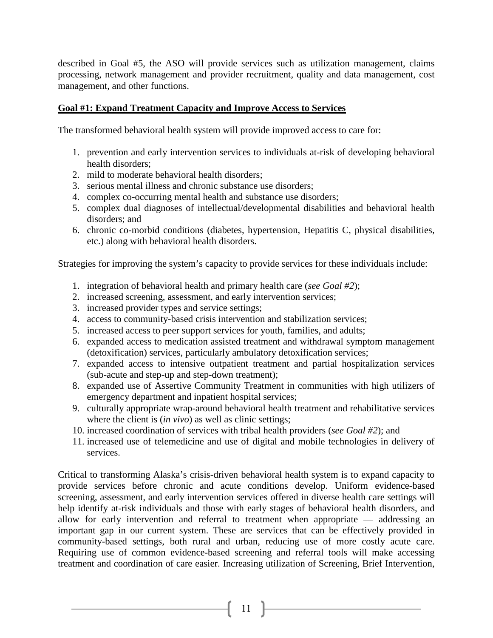described in Goal #5, the ASO will provide services such as utilization management, claims processing, network management and provider recruitment, quality and data management, cost management, and other functions.

## **Goal #1: Expand Treatment Capacity and Improve Access to Services**

The transformed behavioral health system will provide improved access to care for:

- 1. prevention and early intervention services to individuals at-risk of developing behavioral health disorders;
- 2. mild to moderate behavioral health disorders;
- 3. serious mental illness and chronic substance use disorders;
- 4. complex co-occurring mental health and substance use disorders;
- 5. complex dual diagnoses of intellectual/developmental disabilities and behavioral health disorders; and
- 6. chronic co-morbid conditions (diabetes, hypertension, Hepatitis C, physical disabilities, etc.) along with behavioral health disorders.

Strategies for improving the system's capacity to provide services for these individuals include:

- 1. integration of behavioral health and primary health care (*see Goal #2*);
- 2. increased screening, assessment, and early intervention services;
- 3. increased provider types and service settings;
- 4. access to community-based crisis intervention and stabilization services;
- 5. increased access to peer support services for youth, families, and adults;
- 6. expanded access to medication assisted treatment and withdrawal symptom management (detoxification) services, particularly ambulatory detoxification services;
- 7. expanded access to intensive outpatient treatment and partial hospitalization services (sub-acute and step-up and step-down treatment);
- 8. expanded use of Assertive Community Treatment in communities with high utilizers of emergency department and inpatient hospital services;
- 9. culturally appropriate wrap-around behavioral health treatment and rehabilitative services where the client is *(in vivo)* as well as clinic settings;
- 10. increased coordination of services with tribal health providers (*see Goal #2*); and
- 11. increased use of telemedicine and use of digital and mobile technologies in delivery of services.

<span id="page-10-0"></span>Critical to transforming Alaska's crisis-driven behavioral health system is to expand capacity to provide services before chronic and acute conditions develop. Uniform evidence-based screening, assessment, and early intervention services offered in diverse health care settings will help identify at-risk individuals and those with early stages of behavioral health disorders, and allow for early intervention and referral to treatment when appropriate — addressing an important gap in our current system. These are services that can be effectively provided in community-based settings, both rural and urban, reducing use of more costly acute care. Requiring use of common evidence-based screening and referral tools will make accessing treatment and coordination of care easier. Increasing utilization of Screening, Brief Intervention,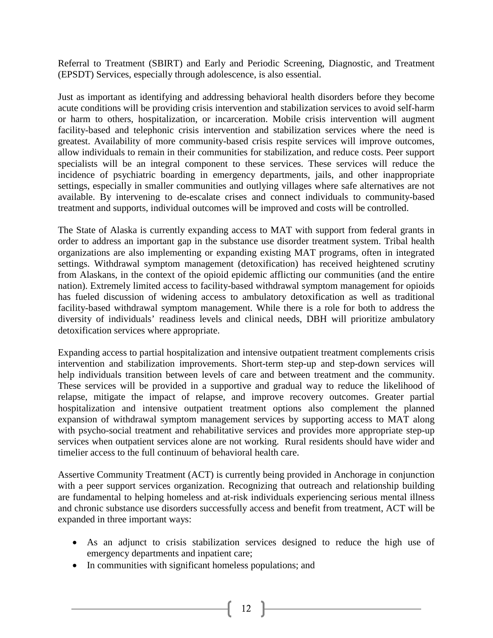Referral to Treatment (SBIRT) and Early and Periodic Screening, Diagnostic, and Treatment (EPSDT) Services, especially through adolescence, is also essential.

Just as important as identifying and addressing behavioral health disorders before they become acute conditions will be providing crisis intervention and stabilization services to avoid self-harm or harm to others, hospitalization, or incarceration. Mobile crisis intervention will augment facility-based and telephonic crisis intervention and stabilization services where the need is greatest. Availability of more community-based crisis respite services will improve outcomes, allow individuals to remain in their communities for stabilization, and reduce costs. Peer support specialists will be an integral component to these services. These services will reduce the incidence of psychiatric boarding in emergency departments, jails, and other inappropriate settings, especially in smaller communities and outlying villages where safe alternatives are not available. By intervening to de-escalate crises and connect individuals to community-based treatment and supports, individual outcomes will be improved and costs will be controlled.

The State of Alaska is currently expanding access to MAT with support from federal grants in order to address an important gap in the substance use disorder treatment system. Tribal health organizations are also implementing or expanding existing MAT programs, often in integrated settings. Withdrawal symptom management (detoxification) has received heightened scrutiny from Alaskans, in the context of the opioid epidemic afflicting our communities (and the entire nation). Extremely limited access to facility-based withdrawal symptom management for opioids has fueled discussion of widening access to ambulatory detoxification as well as traditional facility-based withdrawal symptom management. While there is a role for both to address the diversity of individuals' readiness levels and clinical needs, DBH will prioritize ambulatory detoxification services where appropriate.

Expanding access to partial hospitalization and intensive outpatient treatment complements crisis intervention and stabilization improvements. Short-term step-up and step-down services will help individuals transition between levels of care and between treatment and the community. These services will be provided in a supportive and gradual way to reduce the likelihood of relapse, mitigate the impact of relapse, and improve recovery outcomes. Greater partial hospitalization and intensive outpatient treatment options also complement the planned expansion of withdrawal symptom management services by supporting access to MAT along with psycho-social treatment and rehabilitative services and provides more appropriate step-up services when outpatient services alone are not working. Rural residents should have wider and timelier access to the full continuum of behavioral health care.

Assertive Community Treatment (ACT) is currently being provided in Anchorage in conjunction with a peer support services organization. Recognizing that outreach and relationship building are fundamental to helping homeless and at-risk individuals experiencing serious mental illness and chronic substance use disorders successfully access and benefit from treatment, ACT will be expanded in three important ways:

- As an adjunct to crisis stabilization services designed to reduce the high use of emergency departments and inpatient care;
- In communities with significant homeless populations; and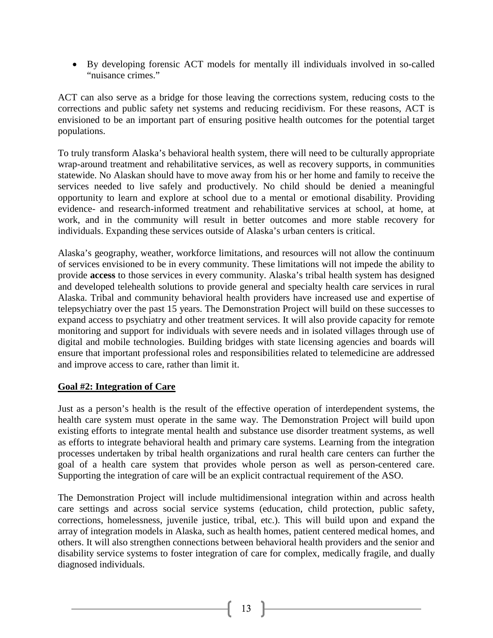• By developing forensic ACT models for mentally ill individuals involved in so-called "nuisance crimes."

ACT can also serve as a bridge for those leaving the corrections system, reducing costs to the corrections and public safety net systems and reducing recidivism. For these reasons, ACT is envisioned to be an important part of ensuring positive health outcomes for the potential target populations.

To truly transform Alaska's behavioral health system, there will need to be culturally appropriate wrap-around treatment and rehabilitative services, as well as recovery supports, in communities statewide. No Alaskan should have to move away from his or her home and family to receive the services needed to live safely and productively. No child should be denied a meaningful opportunity to learn and explore at school due to a mental or emotional disability. Providing evidence- and research-informed treatment and rehabilitative services at school, at home, at work, and in the community will result in better outcomes and more stable recovery for individuals. Expanding these services outside of Alaska's urban centers is critical.

Alaska's geography, weather, workforce limitations, and resources will not allow the continuum of services envisioned to be in every community. These limitations will not impede the ability to provide **access** to those services in every community. Alaska's tribal health system has designed and developed telehealth solutions to provide general and specialty health care services in rural Alaska. Tribal and community behavioral health providers have increased use and expertise of telepsychiatry over the past 15 years. The Demonstration Project will build on these successes to expand access to psychiatry and other treatment services. It will also provide capacity for remote monitoring and support for individuals with severe needs and in isolated villages through use of digital and mobile technologies. Building bridges with state licensing agencies and boards will ensure that important professional roles and responsibilities related to telemedicine are addressed and improve access to care, rather than limit it.

### **Goal #2: Integration of Care**

Just as a person's health is the result of the effective operation of interdependent systems, the health care system must operate in the same way. The Demonstration Project will build upon existing efforts to integrate mental health and substance use disorder treatment systems, as well as efforts to integrate behavioral health and primary care systems. Learning from the integration processes undertaken by tribal health organizations and rural health care centers can further the goal of a health care system that provides whole person as well as person-centered care. Supporting the integration of care will be an explicit contractual requirement of the ASO.

The Demonstration Project will include multidimensional integration within and across health care settings and across social service systems (education, child protection, public safety, corrections, homelessness, juvenile justice, tribal, etc.). This will build upon and expand the array of integration models in Alaska, such as health homes, patient centered medical homes, and others. It will also strengthen connections between behavioral health providers and the senior and disability service systems to foster integration of care for complex, medically fragile, and dually diagnosed individuals.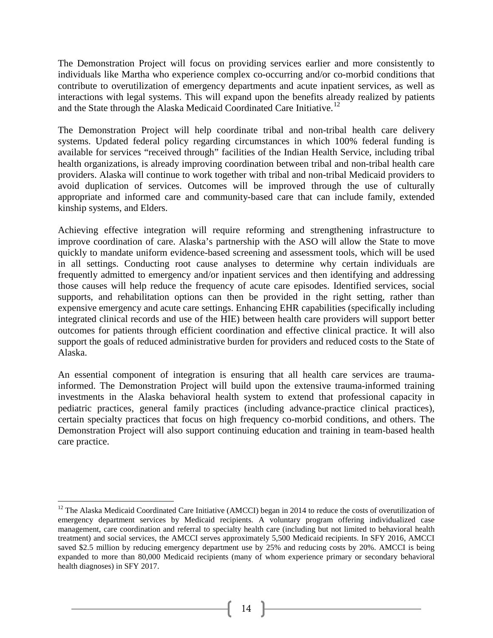The Demonstration Project will focus on providing services earlier and more consistently to individuals like Martha who experience complex co-occurring and/or co-morbid conditions that contribute to overutilization of emergency departments and acute inpatient services, as well as interactions with legal systems. This will expand upon the benefits already realized by patients and the State through the Alaska Medicaid Coordinated Care Initiative.<sup>[12](#page-16-0)</sup>

The Demonstration Project will help coordinate tribal and non-tribal health care delivery systems. Updated federal policy regarding circumstances in which 100% federal funding is available for services "received through" facilities of the Indian Health Service, including tribal health organizations, is already improving coordination between tribal and non-tribal health care providers. Alaska will continue to work together with tribal and non-tribal Medicaid providers to avoid duplication of services. Outcomes will be improved through the use of culturally appropriate and informed care and community-based care that can include family, extended kinship systems, and Elders.

Achieving effective integration will require reforming and strengthening infrastructure to improve coordination of care. Alaska's partnership with the ASO will allow the State to move quickly to mandate uniform evidence-based screening and assessment tools, which will be used in all settings. Conducting root cause analyses to determine why certain individuals are frequently admitted to emergency and/or inpatient services and then identifying and addressing those causes will help reduce the frequency of acute care episodes. Identified services, social supports, and rehabilitation options can then be provided in the right setting, rather than expensive emergency and acute care settings. Enhancing EHR capabilities (specifically including integrated clinical records and use of the HIE) between health care providers will support better outcomes for patients through efficient coordination and effective clinical practice. It will also support the goals of reduced administrative burden for providers and reduced costs to the State of Alaska.

An essential component of integration is ensuring that all health care services are traumainformed. The Demonstration Project will build upon the extensive trauma-informed training investments in the Alaska behavioral health system to extend that professional capacity in pediatric practices, general family practices (including advance-practice clinical practices), certain specialty practices that focus on high frequency co-morbid conditions, and others. The Demonstration Project will also support continuing education and training in team-based health care practice.

 $12$  The Alaska Medicaid Coordinated Care Initiative (AMCCI) began in 2014 to reduce the costs of overutilization of emergency department services by Medicaid recipients. A voluntary program offering individualized case management, care coordination and referral to specialty health care (including but not limited to behavioral health treatment) and social services, the AMCCI serves approximately 5,500 Medicaid recipients. In SFY 2016, AMCCI saved \$2.5 million by reducing emergency department use by 25% and reducing costs by 20%. AMCCI is being expanded to more than 80,000 Medicaid recipients (many of whom experience primary or secondary behavioral health diagnoses) in SFY 2017.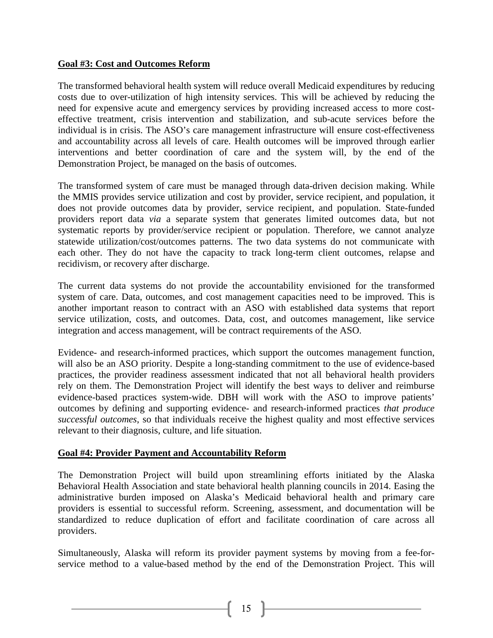## **Goal #3: Cost and Outcomes Reform**

The transformed behavioral health system will reduce overall Medicaid expenditures by reducing costs due to over-utilization of high intensity services. This will be achieved by reducing the need for expensive acute and emergency services by providing increased access to more costeffective treatment, crisis intervention and stabilization, and sub-acute services before the individual is in crisis. The ASO's care management infrastructure will ensure cost-effectiveness and accountability across all levels of care. Health outcomes will be improved through earlier interventions and better coordination of care and the system will, by the end of the Demonstration Project, be managed on the basis of outcomes.

The transformed system of care must be managed through data-driven decision making. While the MMIS provides service utilization and cost by provider, service recipient, and population, it does not provide outcomes data by provider, service recipient, and population. State-funded providers report data *via* a separate system that generates limited outcomes data, but not systematic reports by provider/service recipient or population. Therefore, we cannot analyze statewide utilization/cost/outcomes patterns. The two data systems do not communicate with each other. They do not have the capacity to track long-term client outcomes, relapse and recidivism, or recovery after discharge.

The current data systems do not provide the accountability envisioned for the transformed system of care. Data, outcomes, and cost management capacities need to be improved. This is another important reason to contract with an ASO with established data systems that report service utilization, costs, and outcomes. Data, cost, and outcomes management, like service integration and access management, will be contract requirements of the ASO.

Evidence- and research-informed practices, which support the outcomes management function, will also be an ASO priority. Despite a long-standing commitment to the use of evidence-based practices, the provider readiness assessment indicated that not all behavioral health providers rely on them. The Demonstration Project will identify the best ways to deliver and reimburse evidence-based practices system-wide. DBH will work with the ASO to improve patients' outcomes by defining and supporting evidence- and research-informed practices *that produce successful outcomes*, so that individuals receive the highest quality and most effective services relevant to their diagnosis, culture, and life situation.

# **Goal #4: Provider Payment and Accountability Reform**

The Demonstration Project will build upon streamlining efforts initiated by the Alaska Behavioral Health Association and state behavioral health planning councils in 2014. Easing the administrative burden imposed on Alaska's Medicaid behavioral health and primary care providers is essential to successful reform. Screening, assessment, and documentation will be standardized to reduce duplication of effort and facilitate coordination of care across all providers.

Simultaneously, Alaska will reform its provider payment systems by moving from a fee-forservice method to a value-based method by the end of the Demonstration Project. This will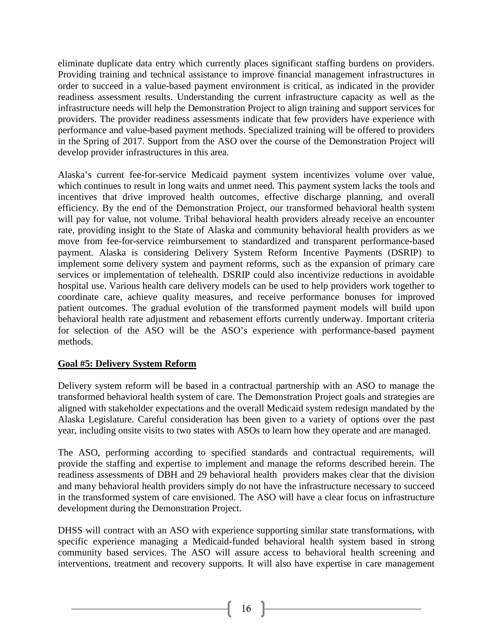eliminate duplicate data entry which currently places significant staffing burdens on providers. Providing training and technical assistance to improve financial management infrastructures in order to succeed in a value-based payment environment is critical, as indicated in the provider readiness assessment results. Understanding the current infrastructure capacity as well as the infrastructure needs will help the Demonstration Project to align training and support services for providers. The provider readiness assessments indicate that few providers have experience with performance and value-based payment methods. Specialized training will be offered to providers in the Spring of 2017. Support from the ASO over the course of the Demonstration Project will develop provider infrastructures in this area.

Alaska's current fee-for-service Medicaid payment system incentivizes volume over value, which continues to result in long waits and unmet need. This payment system lacks the tools and incentives that drive improved health outcomes, effective discharge planning, and overall efficiency. By the end of the Demonstration Project, our transformed behavioral health system will pay for value, not volume. Tribal behavioral health providers already receive an encounter rate, providing insight to the State of Alaska and community behavioral health providers as we move from fee-for-service reimbursement to standardized and transparent performance-based payment. Alaska is considering Delivery System Reform Incentive Payments (DSRIP) to implement some delivery system and payment reforms, such as the expansion of primary care services or implementation of telehealth. DSRIP could also incentivize reductions in avoidable hospital use. Various health care delivery models can be used to help providers work together to coordinate care, achieve quality measures, and receive performance bonuses for improved patient outcomes. The gradual evolution of the transformed payment models will build upon behavioral health rate adjustment and rebasement efforts currently underway. Important criteria for selection of the ASO will be the ASO's experience with performance-based payment methods.

# **Goal #5: Delivery System Reform**

Delivery system reform will be based in a contractual partnership with an ASO to manage the transformed behavioral health system of care. The Demonstration Project goals and strategies are aligned with stakeholder expectations and the overall Medicaid system redesign mandated by the Alaska Legislature. Careful consideration has been given to a variety of options over the past year, including onsite visits to two states with ASOs to learn how they operate and are managed.

The ASO, performing according to specified standards and contractual requirements, will provide the staffing and expertise to implement and manage the reforms described herein. The readiness assessments of DBH and 29 behavioral health providers makes clear that the division and many behavioral health providers simply do not have the infrastructure necessary to succeed in the transformed system of care envisioned. The ASO will have a clear focus on infrastructure development during the Demonstration Project.

DHSS will contract with an ASO with experience supporting similar state transformations, with specific experience managing a Medicaid-funded behavioral health system based in strong community based services. The ASO will assure access to behavioral health screening and interventions, treatment and recovery supports. It will also have expertise in care management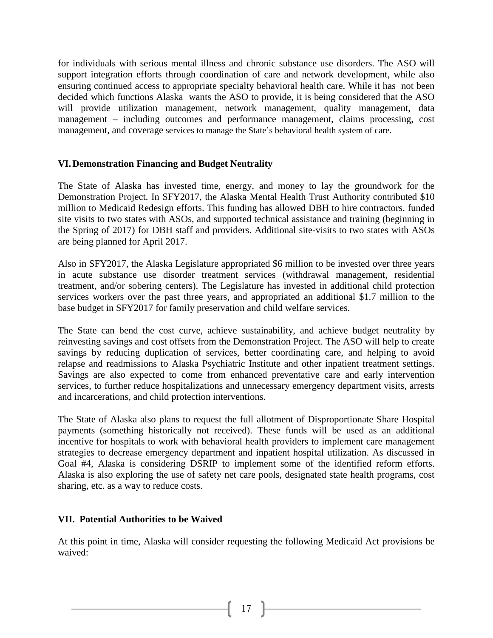for individuals with serious mental illness and chronic substance use disorders. The ASO will support integration efforts through coordination of care and network development, while also ensuring continued access to appropriate specialty behavioral health care. While it has not been decided which functions Alaska wants the ASO to provide, it is being considered that the ASO will provide utilization management, network management, quality management, data management – including outcomes and performance management, claims processing, cost management, and coverage services to manage the State's behavioral health system of care.

## **VI.Demonstration Financing and Budget Neutrality**

The State of Alaska has invested time, energy, and money to lay the groundwork for the Demonstration Project. In SFY2017, the Alaska Mental Health Trust Authority contributed \$10 million to Medicaid Redesign efforts. This funding has allowed DBH to hire contractors, funded site visits to two states with ASOs, and supported technical assistance and training (beginning in the Spring of 2017) for DBH staff and providers. Additional site-visits to two states with ASOs are being planned for April 2017.

Also in SFY2017, the Alaska Legislature appropriated \$6 million to be invested over three years in acute substance use disorder treatment services (withdrawal management, residential treatment, and/or sobering centers). The Legislature has invested in additional child protection services workers over the past three years, and appropriated an additional \$1.7 million to the base budget in SFY2017 for family preservation and child welfare services.

The State can bend the cost curve, achieve sustainability, and achieve budget neutrality by reinvesting savings and cost offsets from the Demonstration Project. The ASO will help to create savings by reducing duplication of services, better coordinating care, and helping to avoid relapse and readmissions to Alaska Psychiatric Institute and other inpatient treatment settings. Savings are also expected to come from enhanced preventative care and early intervention services, to further reduce hospitalizations and unnecessary emergency department visits, arrests and incarcerations, and child protection interventions.

The State of Alaska also plans to request the full allotment of Disproportionate Share Hospital payments (something historically not received). These funds will be used as an additional incentive for hospitals to work with behavioral health providers to implement care management strategies to decrease emergency department and inpatient hospital utilization. As discussed in Goal #4, Alaska is considering DSRIP to implement some of the identified reform efforts. Alaska is also exploring the use of safety net care pools, designated state health programs, cost sharing, etc. as a way to reduce costs.

### <span id="page-16-0"></span>**VII. Potential Authorities to be Waived**

At this point in time, Alaska will consider requesting the following Medicaid Act provisions be waived: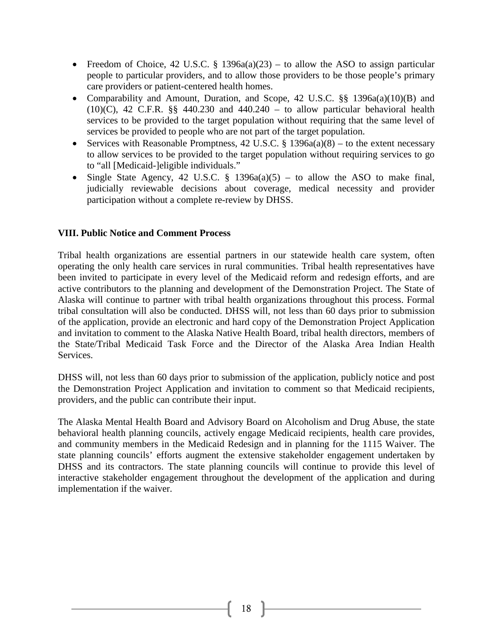- Freedom of Choice, 42 U.S.C. § 1396a(a)(23) to allow the ASO to assign particular people to particular providers, and to allow those providers to be those people's primary care providers or patient-centered health homes.
- Comparability and Amount, Duration, and Scope, 42 U.S.C. §§ 1396a(a)(10)(B) and  $(10)(C)$ , 42 C.F.R. §§ 440.230 and 440.240 – to allow particular behavioral health services to be provided to the target population without requiring that the same level of services be provided to people who are not part of the target population.
- Services with Reasonable Promptness, 42 U.S.C.  $\S$  1396a(a)(8) to the extent necessary to allow services to be provided to the target population without requiring services to go to "all [Medicaid-]eligible individuals."
- Single State Agency, 42 U.S.C. § 1396a(a)(5) to allow the ASO to make final, judicially reviewable decisions about coverage, medical necessity and provider participation without a complete re-review by DHSS.

# **VIII. Public Notice and Comment Process**

Tribal health organizations are essential partners in our statewide health care system, often operating the only health care services in rural communities. Tribal health representatives have been invited to participate in every level of the Medicaid reform and redesign efforts, and are active contributors to the planning and development of the Demonstration Project. The State of Alaska will continue to partner with tribal health organizations throughout this process. Formal tribal consultation will also be conducted. DHSS will, not less than 60 days prior to submission of the application, provide an electronic and hard copy of the Demonstration Project Application and invitation to comment to the Alaska Native Health Board, tribal health directors, members of the State/Tribal Medicaid Task Force and the Director of the Alaska Area Indian Health Services.

DHSS will, not less than 60 days prior to submission of the application, publicly notice and post the Demonstration Project Application and invitation to comment so that Medicaid recipients, providers, and the public can contribute their input.

The Alaska Mental Health Board and Advisory Board on Alcoholism and Drug Abuse, the state behavioral health planning councils, actively engage Medicaid recipients, health care provides, and community members in the Medicaid Redesign and in planning for the 1115 Waiver. The state planning councils' efforts augment the extensive stakeholder engagement undertaken by DHSS and its contractors. The state planning councils will continue to provide this level of interactive stakeholder engagement throughout the development of the application and during implementation if the waiver.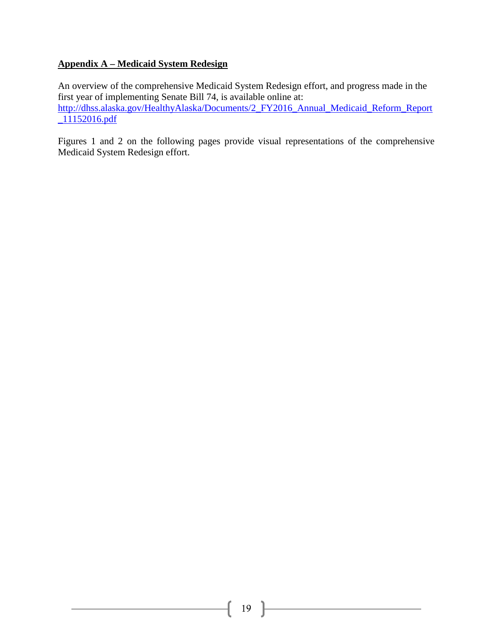# **Appendix A – Medicaid System Redesign**

An overview of the comprehensive Medicaid System Redesign effort, and progress made in the first year of implementing Senate Bill 74, is available online at: [http://dhss.alaska.gov/HealthyAlaska/Documents/2\\_FY2016\\_Annual\\_Medicaid\\_Reform\\_Report](http://dhss.alaska.gov/HealthyAlaska/Documents/2_FY2016_Annual_Medicaid_Reform_Report_11152016.pdf) [\\_11152016.pdf](http://dhss.alaska.gov/HealthyAlaska/Documents/2_FY2016_Annual_Medicaid_Reform_Report_11152016.pdf)

Figures 1 and 2 on the following pages provide visual representations of the comprehensive Medicaid System Redesign effort.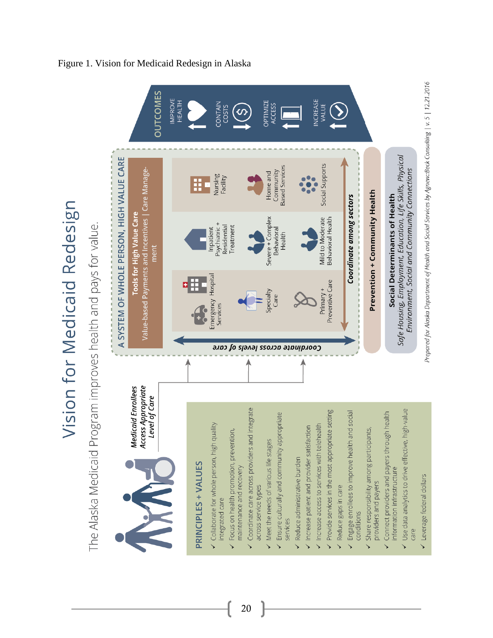

20